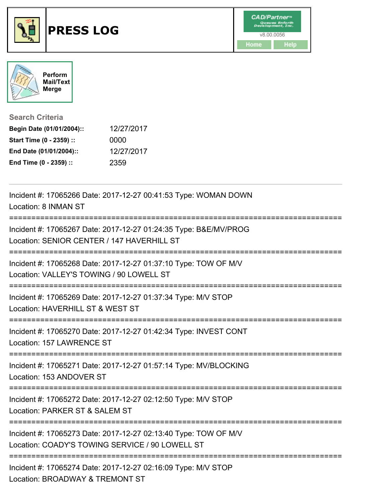



**Search Criteria**

| Begin Date (01/01/2004):: | 12/27/2017 |
|---------------------------|------------|
| Start Time (0 - 2359) ::  | 0000       |
| End Date (01/01/2004)::   | 12/27/2017 |
| End Time (0 - 2359) ::    | 2359       |

| Incident #: 17065266 Date: 2017-12-27 00:41:53 Type: WOMAN DOWN<br>Location: 8 INMAN ST                                                       |
|-----------------------------------------------------------------------------------------------------------------------------------------------|
| Incident #: 17065267 Date: 2017-12-27 01:24:35 Type: B&E/MV/PROG<br>Location: SENIOR CENTER / 147 HAVERHILL ST<br>=========================== |
| Incident #: 17065268 Date: 2017-12-27 01:37:10 Type: TOW OF M/V<br>Location: VALLEY'S TOWING / 90 LOWELL ST                                   |
| Incident #: 17065269 Date: 2017-12-27 01:37:34 Type: M/V STOP<br>Location: HAVERHILL ST & WEST ST                                             |
| Incident #: 17065270 Date: 2017-12-27 01:42:34 Type: INVEST CONT<br>Location: 157 LAWRENCE ST                                                 |
| Incident #: 17065271 Date: 2017-12-27 01:57:14 Type: MV/BLOCKING<br>Location: 153 ANDOVER ST                                                  |
| Incident #: 17065272 Date: 2017-12-27 02:12:50 Type: M/V STOP<br>Location: PARKER ST & SALEM ST                                               |
| Incident #: 17065273 Date: 2017-12-27 02:13:40 Type: TOW OF M/V<br>Location: COADY'S TOWING SERVICE / 90 LOWELL ST                            |
| Incident #: 17065274 Date: 2017-12-27 02:16:09 Type: M/V STOP<br>Location: BROADWAY & TREMONT ST                                              |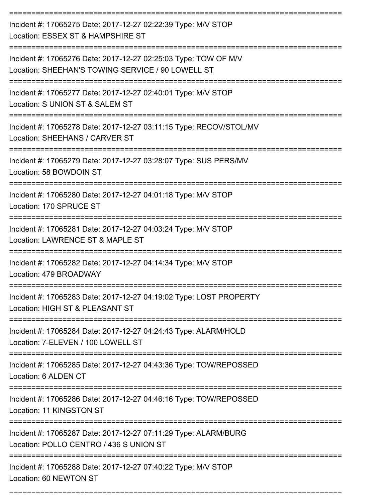| Incident #: 17065275 Date: 2017-12-27 02:22:39 Type: M/V STOP<br>Location: ESSEX ST & HAMPSHIRE ST                   |
|----------------------------------------------------------------------------------------------------------------------|
| Incident #: 17065276 Date: 2017-12-27 02:25:03 Type: TOW OF M/V<br>Location: SHEEHAN'S TOWING SERVICE / 90 LOWELL ST |
| Incident #: 17065277 Date: 2017-12-27 02:40:01 Type: M/V STOP<br>Location: S UNION ST & SALEM ST                     |
| Incident #: 17065278 Date: 2017-12-27 03:11:15 Type: RECOV/STOL/MV<br>Location: SHEEHANS / CARVER ST                 |
| Incident #: 17065279 Date: 2017-12-27 03:28:07 Type: SUS PERS/MV<br>Location: 58 BOWDOIN ST                          |
| Incident #: 17065280 Date: 2017-12-27 04:01:18 Type: M/V STOP<br>Location: 170 SPRUCE ST                             |
| Incident #: 17065281 Date: 2017-12-27 04:03:24 Type: M/V STOP<br>Location: LAWRENCE ST & MAPLE ST                    |
| Incident #: 17065282 Date: 2017-12-27 04:14:34 Type: M/V STOP<br>Location: 479 BROADWAY                              |
| Incident #: 17065283 Date: 2017-12-27 04:19:02 Type: LOST PROPERTY<br>Location: HIGH ST & PLEASANT ST                |
| Incident #: 17065284 Date: 2017-12-27 04:24:43 Type: ALARM/HOLD<br>Location: 7-ELEVEN / 100 LOWELL ST                |
| Incident #: 17065285 Date: 2017-12-27 04:43:36 Type: TOW/REPOSSED<br>Location: 6 ALDEN CT                            |
| Incident #: 17065286 Date: 2017-12-27 04:46:16 Type: TOW/REPOSSED<br>Location: 11 KINGSTON ST                        |
| Incident #: 17065287 Date: 2017-12-27 07:11:29 Type: ALARM/BURG<br>Location: POLLO CENTRO / 436 S UNION ST           |
| Incident #: 17065288 Date: 2017-12-27 07:40:22 Type: M/V STOP<br>Location: 60 NEWTON ST                              |

===========================================================================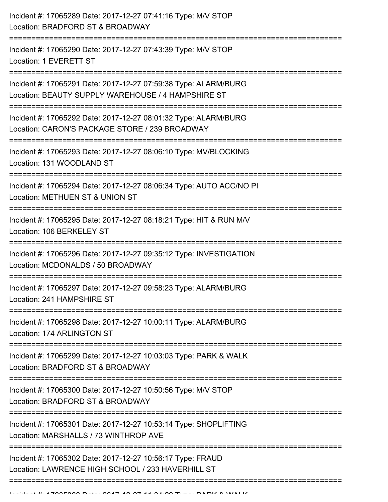| :============= | Incident #: 17065289 Date: 2017-12-27 07:41:16 Type: M/V STOP<br>Location: BRADFORD ST & BROADWAY                     |
|----------------|-----------------------------------------------------------------------------------------------------------------------|
|                | Incident #: 17065290 Date: 2017-12-27 07:43:39 Type: M/V STOP<br>Location: 1 EVERETT ST                               |
|                | Incident #: 17065291 Date: 2017-12-27 07:59:38 Type: ALARM/BURG<br>Location: BEAUTY SUPPLY WAREHOUSE / 4 HAMPSHIRE ST |
|                | Incident #: 17065292 Date: 2017-12-27 08:01:32 Type: ALARM/BURG<br>Location: CARON'S PACKAGE STORE / 239 BROADWAY     |
|                | Incident #: 17065293 Date: 2017-12-27 08:06:10 Type: MV/BLOCKING<br>Location: 131 WOODLAND ST                         |
|                | Incident #: 17065294 Date: 2017-12-27 08:06:34 Type: AUTO ACC/NO PI<br>Location: METHUEN ST & UNION ST                |
|                | Incident #: 17065295 Date: 2017-12-27 08:18:21 Type: HIT & RUN M/V<br>Location: 106 BERKELEY ST                       |
|                | Incident #: 17065296 Date: 2017-12-27 09:35:12 Type: INVESTIGATION<br>Location: MCDONALDS / 50 BROADWAY               |
|                | Incident #: 17065297 Date: 2017-12-27 09:58:23 Type: ALARM/BURG<br>Location: 241 HAMPSHIRE ST                         |
|                | Incident #: 17065298 Date: 2017-12-27 10:00:11 Type: ALARM/BURG<br>Location: 174 ARLINGTON ST                         |
|                | Incident #: 17065299 Date: 2017-12-27 10:03:03 Type: PARK & WALK<br>Location: BRADFORD ST & BROADWAY                  |
|                | Incident #: 17065300 Date: 2017-12-27 10:50:56 Type: M/V STOP<br>Location: BRADFORD ST & BROADWAY                     |
|                | Incident #: 17065301 Date: 2017-12-27 10:53:14 Type: SHOPLIFTING<br>Location: MARSHALLS / 73 WINTHROP AVE             |
|                | Incident #: 17065302 Date: 2017-12-27 10:56:17 Type: FRAUD<br>Location: LAWRENCE HIGH SCHOOL / 233 HAVERHILL ST       |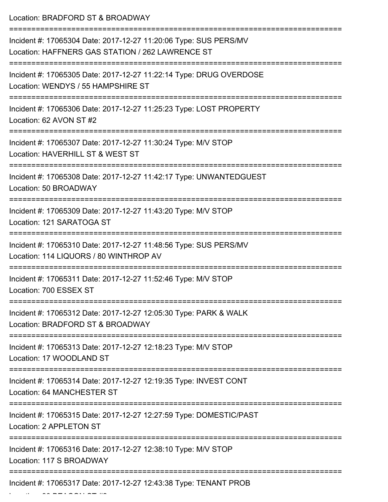Location: BRADFORD ST & BROADWAY =========================================================================== Incident #: 17065304 Date: 2017-12-27 11:20:06 Type: SUS PERS/MV Location: HAFFNERS GAS STATION / 262 LAWRENCE ST =========================================================================== Incident #: 17065305 Date: 2017-12-27 11:22:14 Type: DRUG OVERDOSE Location: WENDYS / 55 HAMPSHIRE ST =========================================================================== Incident #: 17065306 Date: 2017-12-27 11:25:23 Type: LOST PROPERTY Location: 62 AVON ST #2 =========================================================================== Incident #: 17065307 Date: 2017-12-27 11:30:24 Type: M/V STOP Location: HAVERHILL ST & WEST ST =========================================================================== Incident #: 17065308 Date: 2017-12-27 11:42:17 Type: UNWANTEDGUEST Location: 50 BROADWAY =========================================================================== Incident #: 17065309 Date: 2017-12-27 11:43:20 Type: M/V STOP Location: 121 SARATOGA ST =========================================================================== Incident #: 17065310 Date: 2017-12-27 11:48:56 Type: SUS PERS/MV Location: 114 LIQUORS / 80 WINTHROP AV =========================================================================== Incident #: 17065311 Date: 2017-12-27 11:52:46 Type: M/V STOP Location: 700 ESSEX ST =========================================================================== Incident #: 17065312 Date: 2017-12-27 12:05:30 Type: PARK & WALK Location: BRADFORD ST & BROADWAY =========================================================================== Incident #: 17065313 Date: 2017-12-27 12:18:23 Type: M/V STOP Location: 17 WOODLAND ST =========================================================================== Incident #: 17065314 Date: 2017-12-27 12:19:35 Type: INVEST CONT Location: 64 MANCHESTER ST =========================================================================== Incident #: 17065315 Date: 2017-12-27 12:27:59 Type: DOMESTIC/PAST Location: 2 APPLETON ST =========================================================================== Incident #: 17065316 Date: 2017-12-27 12:38:10 Type: M/V STOP Location: 117 S BROADWAY =========================================================================== Incident #: 17065317 Date: 2017-12-27 12:43:38 Type: TENANT PROB

 $\mathcal{L}$  and  $\mathcal{L}$  becomes a set  $\mathcal{L}$  and  $\mathcal{L}$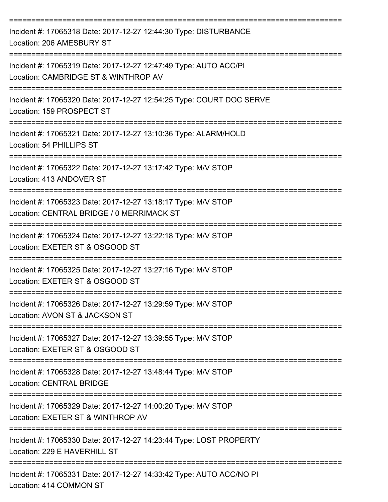| Incident #: 17065318 Date: 2017-12-27 12:44:30 Type: DISTURBANCE<br>Location: 206 AMESBURY ST                                            |
|------------------------------------------------------------------------------------------------------------------------------------------|
| Incident #: 17065319 Date: 2017-12-27 12:47:49 Type: AUTO ACC/PI<br>Location: CAMBRIDGE ST & WINTHROP AV                                 |
| Incident #: 17065320 Date: 2017-12-27 12:54:25 Type: COURT DOC SERVE<br>Location: 159 PROSPECT ST                                        |
| Incident #: 17065321 Date: 2017-12-27 13:10:36 Type: ALARM/HOLD<br>Location: 54 PHILLIPS ST                                              |
| Incident #: 17065322 Date: 2017-12-27 13:17:42 Type: M/V STOP<br>Location: 413 ANDOVER ST                                                |
| Incident #: 17065323 Date: 2017-12-27 13:18:17 Type: M/V STOP<br>Location: CENTRAL BRIDGE / 0 MERRIMACK ST                               |
| Incident #: 17065324 Date: 2017-12-27 13:22:18 Type: M/V STOP<br>Location: EXETER ST & OSGOOD ST                                         |
| Incident #: 17065325 Date: 2017-12-27 13:27:16 Type: M/V STOP<br>Location: EXETER ST & OSGOOD ST                                         |
| Incident #: 17065326 Date: 2017-12-27 13:29:59 Type: M/V STOP<br>Location: AVON ST & JACKSON ST<br>==============================        |
| Incident #: 17065327 Date: 2017-12-27 13:39:55 Type: M/V STOP<br>Location: EXETER ST & OSGOOD ST                                         |
| Incident #: 17065328 Date: 2017-12-27 13:48:44 Type: M/V STOP<br><b>Location: CENTRAL BRIDGE</b>                                         |
| ==================================<br>Incident #: 17065329 Date: 2017-12-27 14:00:20 Type: M/V STOP<br>Location: EXETER ST & WINTHROP AV |
| Incident #: 17065330 Date: 2017-12-27 14:23:44 Type: LOST PROPERTY<br>Location: 229 E HAVERHILL ST                                       |
| Incident #: 17065331 Date: 2017-12-27 14:33:42 Type: AUTO ACC/NO PI<br>Location: 414 COMMON ST                                           |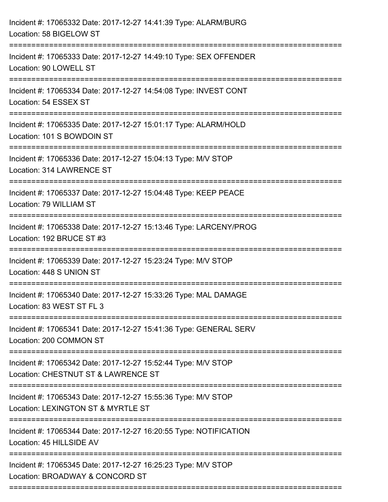| Incident #: 17065332 Date: 2017-12-27 14:41:39 Type: ALARM/BURG<br>Location: 58 BIGELOW ST                            |
|-----------------------------------------------------------------------------------------------------------------------|
| Incident #: 17065333 Date: 2017-12-27 14:49:10 Type: SEX OFFENDER<br>Location: 90 LOWELL ST                           |
| Incident #: 17065334 Date: 2017-12-27 14:54:08 Type: INVEST CONT<br>Location: 54 ESSEX ST<br>------------------------ |
| Incident #: 17065335 Date: 2017-12-27 15:01:17 Type: ALARM/HOLD<br>Location: 101 S BOWDOIN ST                         |
| Incident #: 17065336 Date: 2017-12-27 15:04:13 Type: M/V STOP<br>Location: 314 LAWRENCE ST                            |
| Incident #: 17065337 Date: 2017-12-27 15:04:48 Type: KEEP PEACE<br>Location: 79 WILLIAM ST                            |
| Incident #: 17065338 Date: 2017-12-27 15:13:46 Type: LARCENY/PROG<br>Location: 192 BRUCE ST #3                        |
| Incident #: 17065339 Date: 2017-12-27 15:23:24 Type: M/V STOP<br>Location: 448 S UNION ST                             |
| Incident #: 17065340 Date: 2017-12-27 15:33:26 Type: MAL DAMAGE<br>Location: 83 WEST ST FL 3                          |
| Incident #: 17065341 Date: 2017-12-27 15:41:36 Type: GENERAL SERV<br>Location: 200 COMMON ST                          |
| Incident #: 17065342 Date: 2017-12-27 15:52:44 Type: M/V STOP<br>Location: CHESTNUT ST & LAWRENCE ST                  |
| Incident #: 17065343 Date: 2017-12-27 15:55:36 Type: M/V STOP<br>Location: LEXINGTON ST & MYRTLE ST                   |
| Incident #: 17065344 Date: 2017-12-27 16:20:55 Type: NOTIFICATION<br>Location: 45 HILLSIDE AV                         |
| Incident #: 17065345 Date: 2017-12-27 16:25:23 Type: M/V STOP<br>Location: BROADWAY & CONCORD ST                      |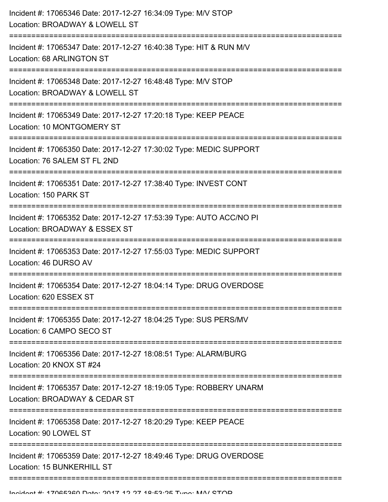| Incident #: 17065346 Date: 2017-12-27 16:34:09 Type: M/V STOP<br>Location: BROADWAY & LOWELL ST                                             |
|---------------------------------------------------------------------------------------------------------------------------------------------|
| Incident #: 17065347 Date: 2017-12-27 16:40:38 Type: HIT & RUN M/V<br>Location: 68 ARLINGTON ST                                             |
| Incident #: 17065348 Date: 2017-12-27 16:48:48 Type: M/V STOP<br>Location: BROADWAY & LOWELL ST                                             |
| Incident #: 17065349 Date: 2017-12-27 17:20:18 Type: KEEP PEACE<br>Location: 10 MONTGOMERY ST                                               |
| Incident #: 17065350 Date: 2017-12-27 17:30:02 Type: MEDIC SUPPORT<br>Location: 76 SALEM ST FL 2ND                                          |
| Incident #: 17065351 Date: 2017-12-27 17:38:40 Type: INVEST CONT<br>Location: 150 PARK ST                                                   |
| Incident #: 17065352 Date: 2017-12-27 17:53:39 Type: AUTO ACC/NO PI<br>Location: BROADWAY & ESSEX ST<br>--------------------<br>=========== |
| Incident #: 17065353 Date: 2017-12-27 17:55:03 Type: MEDIC SUPPORT<br>Location: 46 DURSO AV                                                 |
| Incident #: 17065354 Date: 2017-12-27 18:04:14 Type: DRUG OVERDOSE<br>Location: 620 ESSEX ST                                                |
| Incident #: 17065355 Date: 2017-12-27 18:04:25 Type: SUS PERS/MV<br>Location: 6 CAMPO SECO ST                                               |
| Incident #: 17065356 Date: 2017-12-27 18:08:51 Type: ALARM/BURG<br>Location: 20 KNOX ST #24                                                 |
| Incident #: 17065357 Date: 2017-12-27 18:19:05 Type: ROBBERY UNARM<br>Location: BROADWAY & CEDAR ST                                         |
| Incident #: 17065358 Date: 2017-12-27 18:20:29 Type: KEEP PEACE<br>Location: 90 LOWEL ST                                                    |
| Incident #: 17065359 Date: 2017-12-27 18:49:46 Type: DRUG OVERDOSE<br>Location: 15 BUNKERHILL ST                                            |
|                                                                                                                                             |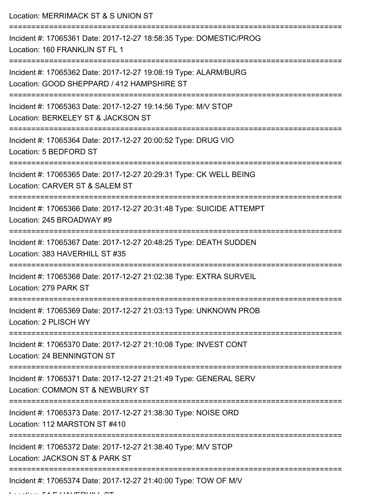Location: MERRIMACK ST & S UNION ST

| Incident #: 17065361 Date: 2017-12-27 18:58:35 Type: DOMESTIC/PROG<br>Location: 160 FRANKLIN ST FL 1                      |
|---------------------------------------------------------------------------------------------------------------------------|
| Incident #: 17065362 Date: 2017-12-27 19:08:19 Type: ALARM/BURG<br>Location: GOOD SHEPPARD / 412 HAMPSHIRE ST             |
| Incident #: 17065363 Date: 2017-12-27 19:14:56 Type: M/V STOP<br>Location: BERKELEY ST & JACKSON ST                       |
| Incident #: 17065364 Date: 2017-12-27 20:00:52 Type: DRUG VIO<br>Location: 5 BEDFORD ST                                   |
| Incident #: 17065365 Date: 2017-12-27 20:29:31 Type: CK WELL BEING<br>Location: CARVER ST & SALEM ST                      |
| Incident #: 17065366 Date: 2017-12-27 20:31:48 Type: SUICIDE ATTEMPT<br>Location: 245 BROADWAY #9                         |
| Incident #: 17065367 Date: 2017-12-27 20:48:25 Type: DEATH SUDDEN<br>Location: 383 HAVERHILL ST #35<br>================== |
| Incident #: 17065368 Date: 2017-12-27 21:02:38 Type: EXTRA SURVEIL<br>Location: 279 PARK ST                               |
| Incident #: 17065369 Date: 2017-12-27 21:03:13 Type: UNKNOWN PROB<br>Location: 2 PLISCH WY                                |
| Incident #: 17065370 Date: 2017-12-27 21:10:08 Type: INVEST CONT<br>Location: 24 BENNINGTON ST                            |
| Incident #: 17065371 Date: 2017-12-27 21:21:49 Type: GENERAL SERV<br>Location: COMMON ST & NEWBURY ST                     |
| Incident #: 17065373 Date: 2017-12-27 21:38:30 Type: NOISE ORD<br>Location: 112 MARSTON ST #410                           |
| Incident #: 17065372 Date: 2017-12-27 21:38:40 Type: M/V STOP<br>Location: JACKSON ST & PARK ST                           |
| Incident #: 17065374 Date: 2017-12-27 21:40:00 Type: TOW OF M/V                                                           |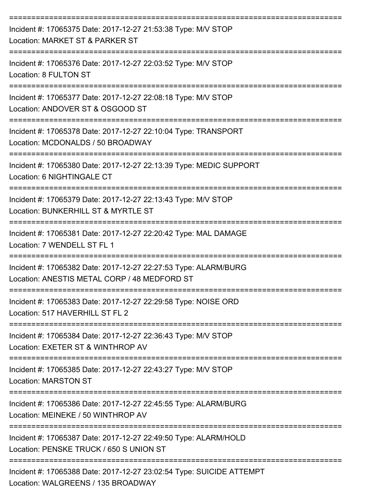| Incident #: 17065375 Date: 2017-12-27 21:53:38 Type: M/V STOP<br>Location: MARKET ST & PARKER ST                                              |
|-----------------------------------------------------------------------------------------------------------------------------------------------|
| Incident #: 17065376 Date: 2017-12-27 22:03:52 Type: M/V STOP<br>Location: 8 FULTON ST                                                        |
| Incident #: 17065377 Date: 2017-12-27 22:08:18 Type: M/V STOP<br>Location: ANDOVER ST & OSGOOD ST                                             |
| Incident #: 17065378 Date: 2017-12-27 22:10:04 Type: TRANSPORT<br>Location: MCDONALDS / 50 BROADWAY                                           |
| Incident #: 17065380 Date: 2017-12-27 22:13:39 Type: MEDIC SUPPORT<br>Location: 6 NIGHTINGALE CT                                              |
| Incident #: 17065379 Date: 2017-12-27 22:13:43 Type: M/V STOP<br>Location: BUNKERHILL ST & MYRTLE ST                                          |
| Incident #: 17065381 Date: 2017-12-27 22:20:42 Type: MAL DAMAGE<br>Location: 7 WENDELL ST FL 1                                                |
| Incident #: 17065382 Date: 2017-12-27 22:27:53 Type: ALARM/BURG<br>Location: ANESTIS METAL CORP / 48 MEDFORD ST                               |
| Incident #: 17065383 Date: 2017-12-27 22:29:58 Type: NOISE ORD<br>Location: 517 HAVERHILL ST FL 2                                             |
| Incident #: 17065384 Date: 2017-12-27 22:36:43 Type: M/V STOP<br>Location: EXETER ST & WINTHROP AV                                            |
| Incident #: 17065385 Date: 2017-12-27 22:43:27 Type: M/V STOP<br><b>Location: MARSTON ST</b>                                                  |
| Incident #: 17065386 Date: 2017-12-27 22:45:55 Type: ALARM/BURG<br>Location: MEINEKE / 50 WINTHROP AV                                         |
| Incident #: 17065387 Date: 2017-12-27 22:49:50 Type: ALARM/HOLD<br>Location: PENSKE TRUCK / 650 S UNION ST                                    |
| -------------------------------<br>Incident #: 17065388 Date: 2017-12-27 23:02:54 Type: SUICIDE ATTEMPT<br>Location: WALGREENS / 135 BROADWAY |